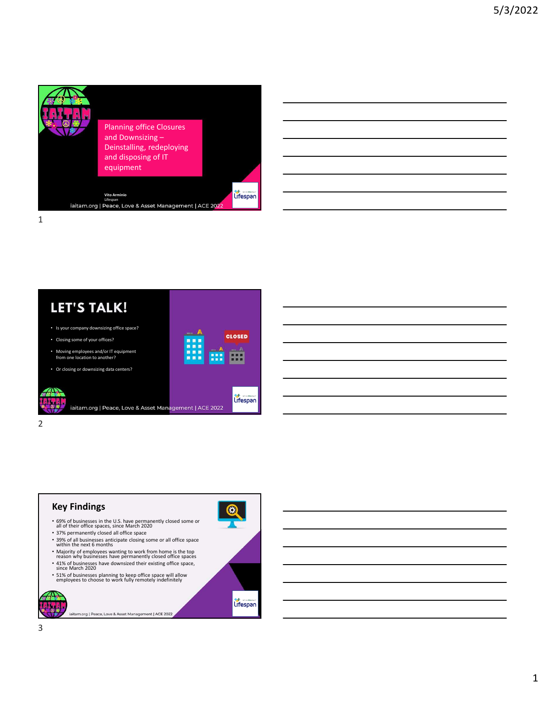



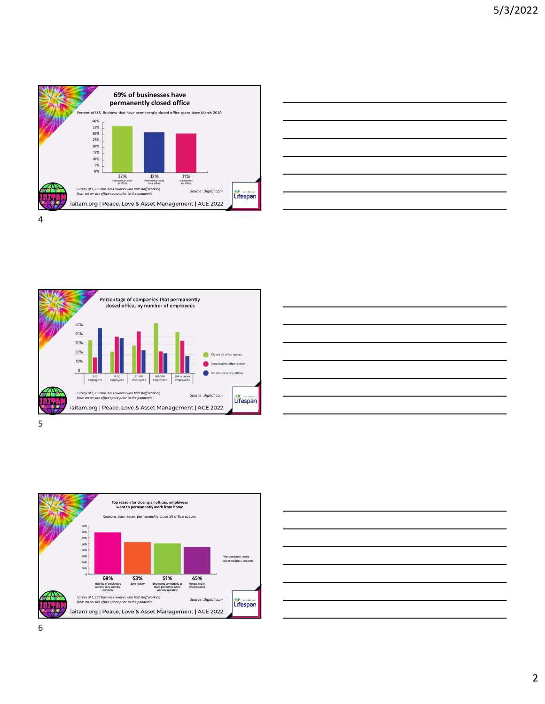



Percentage of companies that permanently closed office, by number of employees 50% 40% 30% 20% 10%  $\overline{0}$ a any offices 1-10 11-50 51-100 101-500 501 or more<br>employees employees employees employees Survey of 1,250 business owners who had staff working Source: Digital.com **Source: Digital.com** Source: Digital.com **Communisty of the pandemic** Source: Digital.com **COMMUNISTIAN** iaitam.org | Peace, Love & Asset Management | ACE 2022



 $5<sub>5</sub>$ 



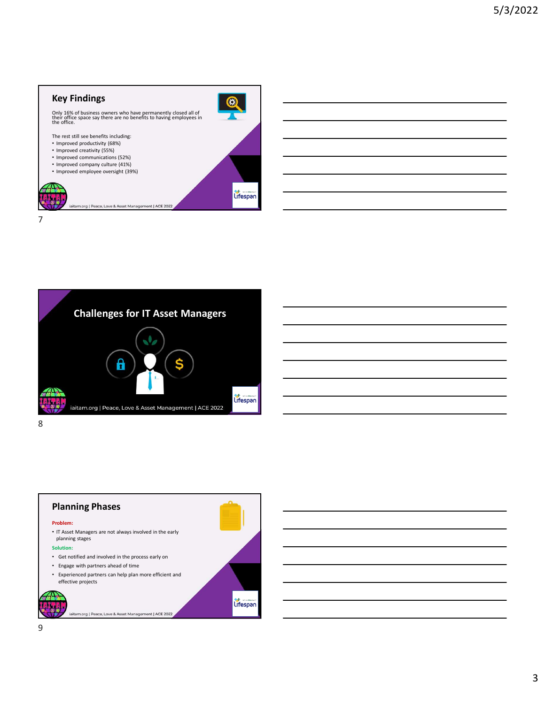## Key Findings



7

8 and 2010 and 2010 and 2010 and 2010 and 2010 and 2010 and 2010 and 2010 and 2010 and 2010 and 2010 and 2010





iaitam.org | Peace, Love & Asset Management | ACE 2022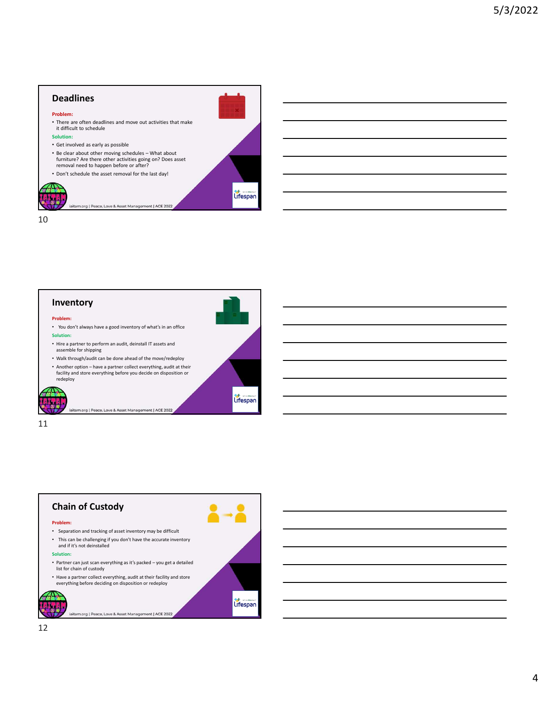## Deadlines Problem: • There are often deadlines and move out activities that make it difficult to schedule Solution: • Get involved as early as possible **Deadlines**<br>• Problem:<br>• There are othen deadlines and move out activities that make<br>the difficult to schedule<br>• Substitution:<br>• Get involved as early as possible<br>• The dear about other moving schedules – What about<br>• Prom furniture? Are there other activities going on? Does asset removal need to happen before or after? • Don't schedule the asset removal for the last day!

10



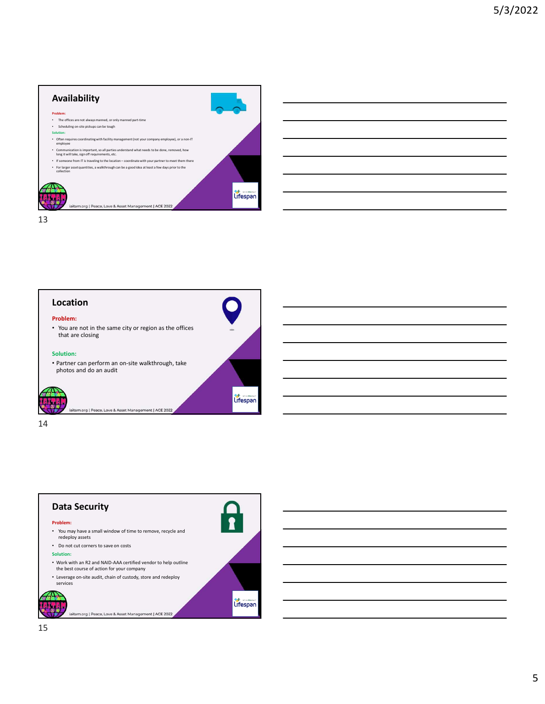









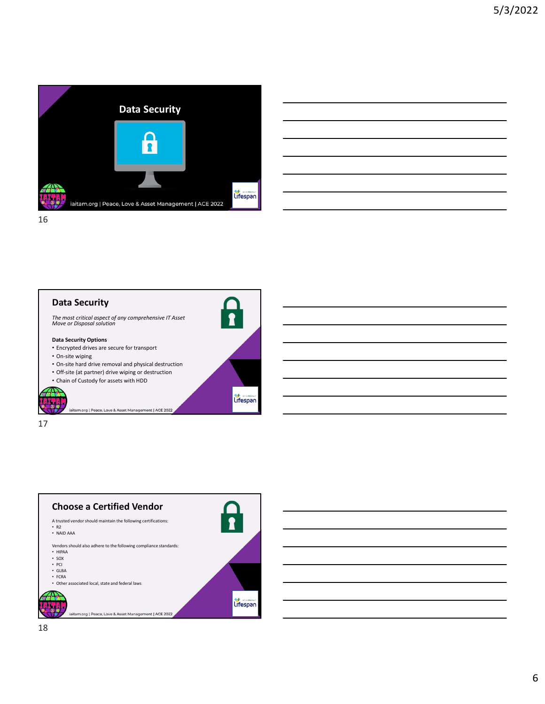

| <u> Alexandro de la contrada de la contrada de la contrada de la contrada de la contrada de la contrada de la con</u> |  |                             |
|-----------------------------------------------------------------------------------------------------------------------|--|-----------------------------|
|                                                                                                                       |  |                             |
|                                                                                                                       |  | $\sim$ $\sim$ $\sim$ $\sim$ |
|                                                                                                                       |  |                             |
|                                                                                                                       |  |                             |







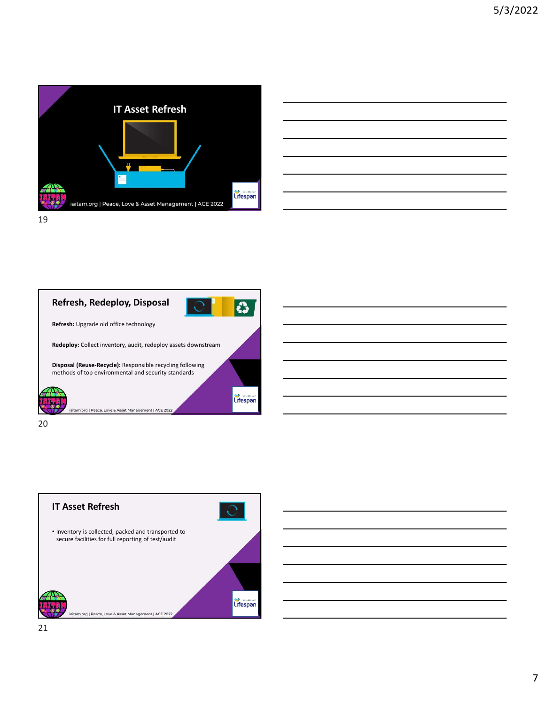





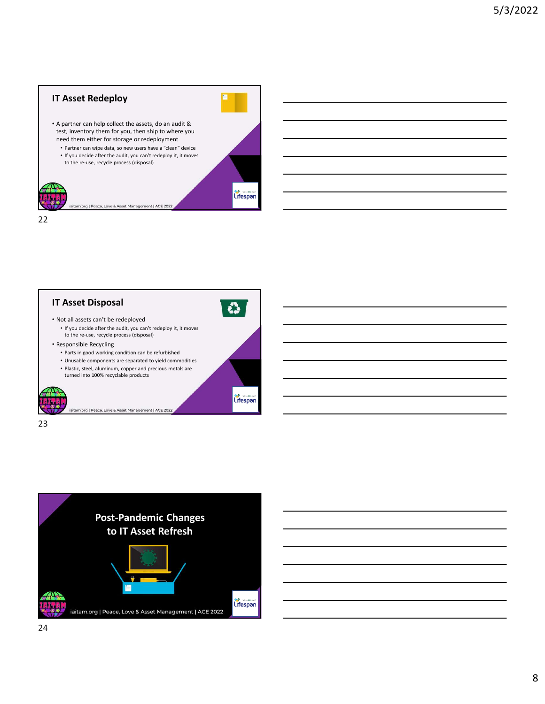







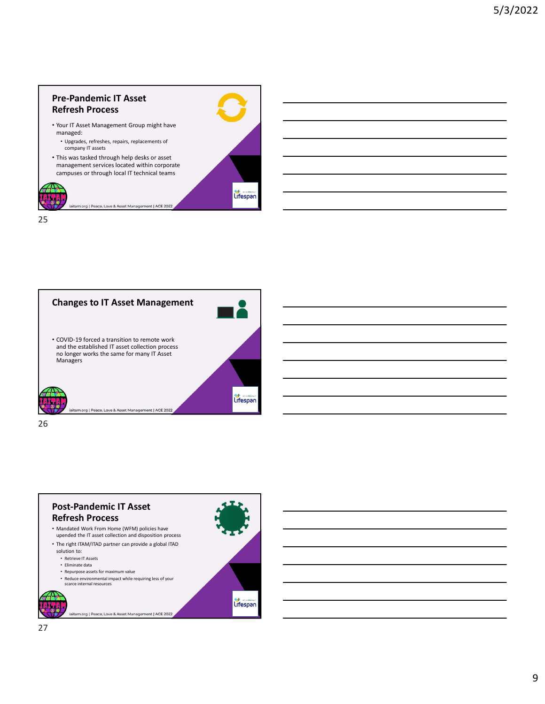

25 and 25 and 25 and 25 and 25 and 25 and 25 and 26 and 26 and 26 and 26 and 26 and 26 and 26 and 26 and 26 an